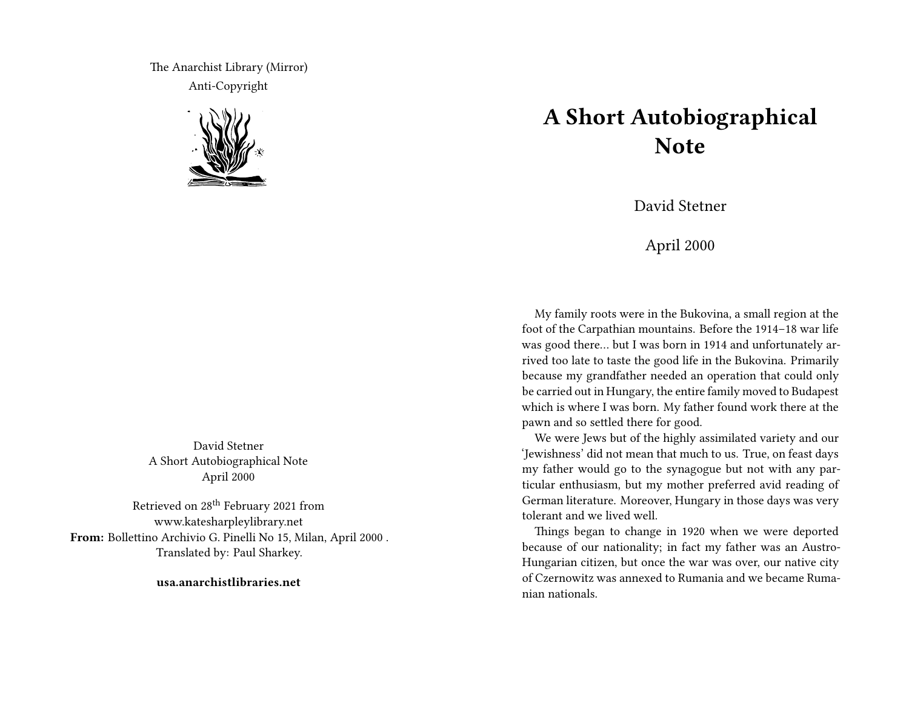The Anarchist Library (Mirror) Anti-Copyright



David Stetner A Short Autobiographical Note April 2000

Retrieved on 28th February 2021 from www.katesharpleylibrary.net **From:** Bollettino Archivio G. Pinelli No 15, Milan, April 2000 . Translated by: Paul Sharkey.

**usa.anarchistlibraries.net**

## **A Short Autobiographical Note**

David Stetner

April 2000

My family roots were in the Bukovina, a small region at the foot of the Carpathian mountains. Before the 1914–18 war life was good there… but I was born in 1914 and unfortunately arrived too late to taste the good life in the Bukovina. Primarily because my grandfather needed an operation that could only be carried out in Hungary, the entire family moved to Budapest which is where I was born. My father found work there at the pawn and so settled there for good.

We were Jews but of the highly assimilated variety and our 'Jewishness' did not mean that much to us. True, on feast days my father would go to the synagogue but not with any particular enthusiasm, but my mother preferred avid reading of German literature. Moreover, Hungary in those days was very tolerant and we lived well.

Things began to change in 1920 when we were deported because of our nationality; in fact my father was an Austro-Hungarian citizen, but once the war was over, our native city of Czernowitz was annexed to Rumania and we became Rumanian nationals.